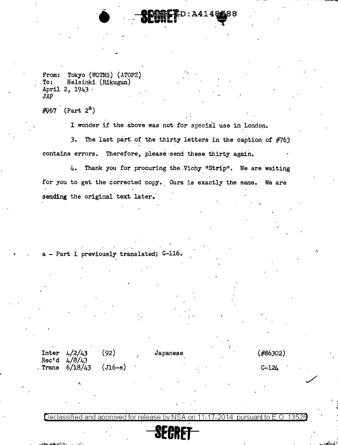From: Tokyo (WOTNS) (ATOPZ)<br>To: Helsinki (Rikugun) Helsinki (Rikugun) April 2, 1943 · JAP

 $~\#967$  (Part  $2^a$ )

I

.·

I wonder if the above was not for special use in London.

-· ~D:A414Wa8B ...... ....,,.

3. The last part of the thirty letters in the caption of #763 contains errors. Therefore, please send these thirty again.

. .  $4.$  Thank you for procuring the Vichy "Strip". We are waiting for you to get the corrected copy. Ours is exactly the same. We are sending the original text later.

 $\mathbf \iota$ 

 $a$  - Part 1 previously translated;  $C-116$ .

|  | Inter $4/2/43$<br>Rec'd $4/8/43$<br>$3.$ Trans $6/18/43$ | (92)      | Japanese |  | $($ #86302)  |
|--|----------------------------------------------------------|-----------|----------|--|--------------|
|  |                                                          | $(J16-e)$ |          |  | <b>C-124</b> |

.Declassified and approved for release by NSA on 11-17-2014 pursuant to E.O. 13520